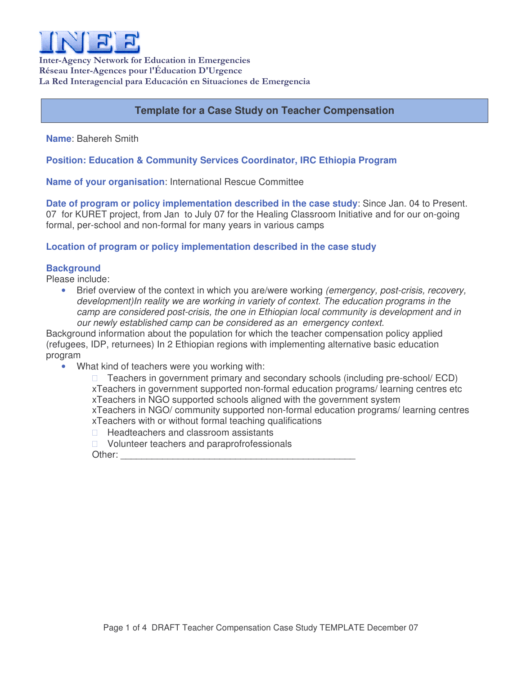

Inter-Agency Network for Education in Emergencies Réseau Inter-Agences pour l'Éducation D'Urgence La Red Interagencial para Educación en Situaciones de Emergencia

# **Template for a Case Study on Teacher Compensation**

**Name**: Bahereh Smith

**Position: Education & Community Services Coordinator, IRC Ethiopia Program**

**Name of your organisation**: International Rescue Committee

**Date of program or policy implementation described in the case study**: Since Jan. 04 to Present. 07 for KURET project, from Jan to July 07 for the Healing Classroom Initiative and for our on-going formal, per-school and non-formal for many years in various camps

## **Location of program or policy implementation described in the case study**

### **Background**

Please include:

• Brief overview of the context in which you are/were working *(emergency, post-crisis, recovery, development)In reality we are working in variety of context. The education programs in the camp are considered post-crisis, the one in Ethiopian local community is development and in our newly established camp can be considered as an emergency context.*

Background information about the population for which the teacher compensation policy applied (refugees, IDP, returnees) In 2 Ethiopian regions with implementing alternative basic education program

• What kind of teachers were you working with:

 Teachers in government primary and secondary schools (including pre-school/ ECD) xTeachers in government supported non-formal education programs/ learning centres etc xTeachers in NGO supported schools aligned with the government system xTeachers in NGO/ community supported non-formal education programs/ learning centres xTeachers with or without formal teaching qualifications Headteachers and classroom assistants Volunteer teachers and paraprofrofessionals

Other: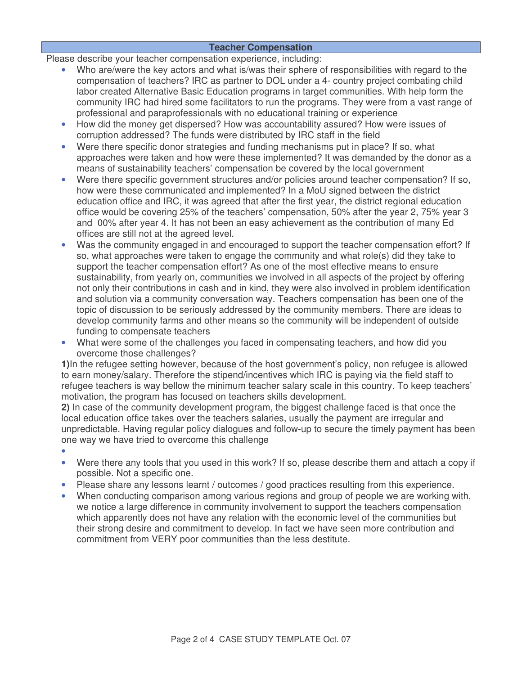### **Teacher Compensation**

Please describe your teacher compensation experience, including:

- Who are/were the key actors and what is/was their sphere of responsibilities with regard to the compensation of teachers? IRC as partner to DOL under a 4- country project combating child labor created Alternative Basic Education programs in target communities. With help form the community IRC had hired some facilitators to run the programs. They were from a vast range of professional and paraprofessionals with no educational training or experience
- How did the money get dispersed? How was accountability assured? How were issues of corruption addressed? The funds were distributed by IRC staff in the field
- Were there specific donor strategies and funding mechanisms put in place? If so, what approaches were taken and how were these implemented? It was demanded by the donor as a means of sustainability teachers' compensation be covered by the local government
- Were there specific government structures and/or policies around teacher compensation? If so, how were these communicated and implemented? In a MoU signed between the district education office and IRC, it was agreed that after the first year, the district regional education office would be covering 25% of the teachers' compensation, 50% after the year 2, 75% year 3 and 00% after year 4. It has not been an easy achievement as the contribution of many Ed offices are still not at the agreed level.
- Was the community engaged in and encouraged to support the teacher compensation effort? If so, what approaches were taken to engage the community and what role(s) did they take to support the teacher compensation effort? As one of the most effective means to ensure sustainability, from yearly on, communities we involved in all aspects of the project by offering not only their contributions in cash and in kind, they were also involved in problem identification and solution via a community conversation way. Teachers compensation has been one of the topic of discussion to be seriously addressed by the community members. There are ideas to develop community farms and other means so the community will be independent of outside funding to compensate teachers
- What were some of the challenges you faced in compensating teachers, and how did you overcome those challenges?

**1)**In the refugee setting however, because of the host government's policy, non refugee is allowed to earn money/salary. Therefore the stipend/incentives which IRC is paying via the field staff to refugee teachers is way bellow the minimum teacher salary scale in this country. To keep teachers' motivation, the program has focused on teachers skills development.

**2)** In case of the community development program, the biggest challenge faced is that once the local education office takes over the teachers salaries, usually the payment are irregular and unpredictable. Having regular policy dialogues and follow-up to secure the timely payment has been one way we have tried to overcome this challenge

- •
- Were there any tools that you used in this work? If so, please describe them and attach a copy if possible. Not a specific one.
- Please share any lessons learnt / outcomes / good practices resulting from this experience.
- When conducting comparison among various regions and group of people we are working with, we notice a large difference in community involvement to support the teachers compensation which apparently does not have any relation with the economic level of the communities but their strong desire and commitment to develop. In fact we have seen more contribution and commitment from VERY poor communities than the less destitute.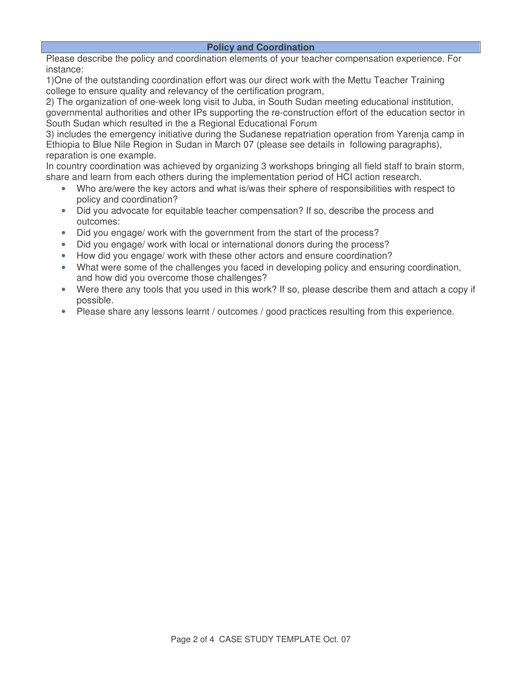#### **Policy and Coordination**

Please describe the policy and coordination elements of your teacher compensation experience. For instance:

1)One of the outstanding coordination effort was our direct work with the Mettu Teacher Training college to ensure quality and relevancy of the certification program,

2) The organization of one-week long visit to Juba, in South Sudan meeting educational institution, governmental authorities and other IPs supporting the re-construction effort of the education sector in South Sudan which resulted in the a Regional Educational Forum

3) includes the emergency initiative during the Sudanese repatriation operation from Yarenja camp in Ethiopia to Blue Nile Region in Sudan in March 07 (please see details in following paragraphs), reparation is one example.

In country coordination was achieved by organizing 3 workshops bringing all field staff to brain storm, share and learn from each others during the implementation period of HCI action research.

- Who are/were the key actors and what is/was their sphere of responsibilities with respect to policy and coordination?
- Did you advocate for equitable teacher compensation? If so, describe the process and outcomes:
- Did you engage/ work with the government from the start of the process?
- Did you engage/ work with local or international donors during the process?
- How did you engage/ work with these other actors and ensure coordination?
- What were some of the challenges you faced in developing policy and ensuring coordination, and how did you overcome those challenges?
- Were there any tools that you used in this work? If so, please describe them and attach a copy if possible.
- Please share any lessons learnt / outcomes / good practices resulting from this experience.